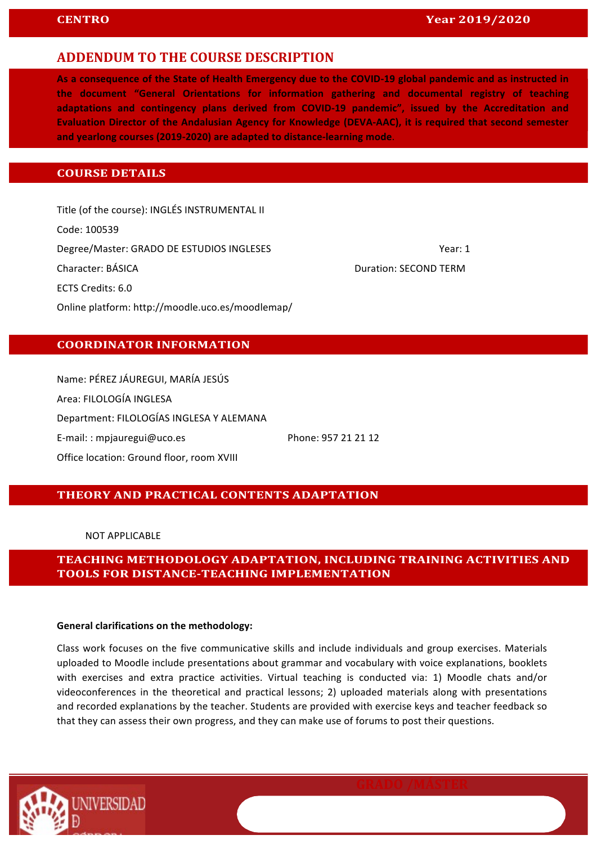### **ADDENDUM TO THE COURSE DESCRIPTION**

As a consequence of the State of Health Emergency due to the COVID-19 global pandemic and as instructed in the document "General Orientations for information gathering and documental registry of teaching adaptations and contingency plans derived from COVID-19 pandemic", issued by the Accreditation and Evaluation Director of the Andalusian Agency for Knowledge (DEVA-AAC), it is required that second semester and yearlong courses (2019-2020) are adapted to distance-learning mode.

### **COURSE DETAILS**

Title (of the course): INGLÉS INSTRUMENTAL II Code: 100539 Degree/Master: GRADO DE ESTUDIOS INGLESES THE CONSTRUCTED MASTER OF MEANS THAT A STREET AND RESPONDENT ASSESSMENT OF MASTERS OF MASTERS AND RESPONDENT ASSESSMENT OF MASTERS OF MASTERS OF MASTERS OF MASTERS OF MASTERS OF MA **Character: BÁSICA Duration: SECOND TERM** ECTS Credits: 6.0 Online platform: http://moodle.uco.es/moodlemap/

### **COORDINATOR INFORMATION**

Name: PÉREZ JÁUREGUI, MARÍA JESÚS Area: FILOLOGÍA INGLESA Department: FILOLOGÍAS INGLESA Y ALEMANA E-mail:: mpjauregui@uco.es Phone: 957 21 21 12 Office location: Ground floor, room XVIII

#### **THEORY AND PRACTICAL CONTENTS ADAPTATION**

NOT APPLICABLE 

**TEACHING METHODOLOGY ADAPTATION, INCLUDING TRAINING ACTIVITIES AND TOOLS FOR DISTANCE-TEACHING IMPLEMENTATION**

#### General clarifications on the methodology:

Class work focuses on the five communicative skills and include individuals and group exercises. Materials uploaded to Moodle include presentations about grammar and vocabulary with voice explanations, booklets with exercises and extra practice activities. Virtual teaching is conducted via: 1) Moodle chats and/or videoconferences in the theoretical and practical lessons; 2) uploaded materials along with presentations and recorded explanations by the teacher. Students are provided with exercise keys and teacher feedback so that they can assess their own progress, and they can make use of forums to post their questions.

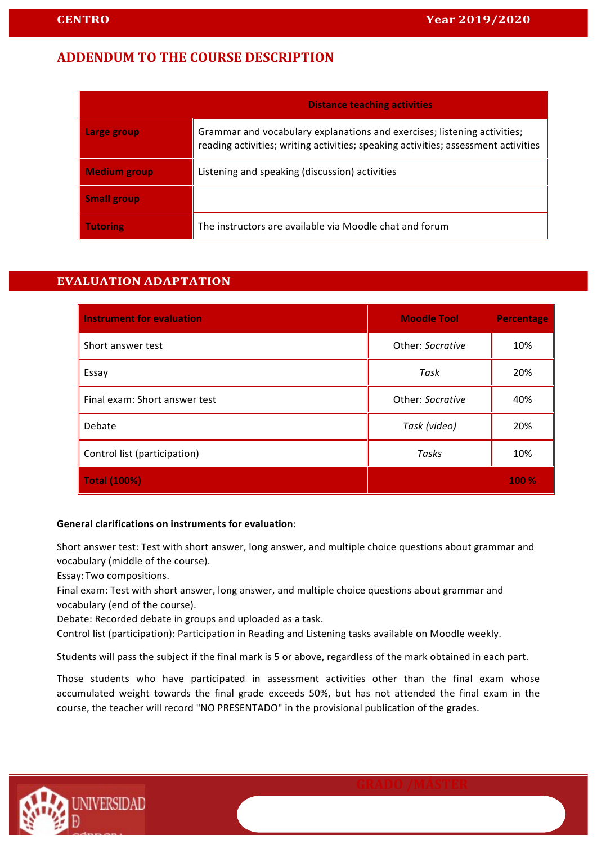# **ADDENDUM TO THE COURSE DESCRIPTION**

|                     | <b>Distance teaching activities</b>                                                                                                                            |  |
|---------------------|----------------------------------------------------------------------------------------------------------------------------------------------------------------|--|
| Large group         | Grammar and vocabulary explanations and exercises; listening activities;<br>reading activities; writing activities; speaking activities; assessment activities |  |
| <b>Medium group</b> | Listening and speaking (discussion) activities                                                                                                                 |  |
| <b>Small group</b>  |                                                                                                                                                                |  |
| <b>Tutoring</b>     | The instructors are available via Moodle chat and forum                                                                                                        |  |

### **EVALUATION ADAPTATION**

| <b>Instrument for evaluation</b> | <b>Moodle Tool</b> | <b>Percentage</b> |
|----------------------------------|--------------------|-------------------|
| Short answer test                | Other: Socrative   | 10%               |
| Essay                            | Task               | 20%               |
| Final exam: Short answer test    | Other: Socrative   | 40%               |
| Debate                           | Task (video)       | 20%               |
| Control list (participation)     | Tasks              | 10%               |
| <b>Total (100%)</b>              |                    | <b>100 %</b>      |

#### **General clarifications on instruments for evaluation:**

Short answer test: Test with short answer, long answer, and multiple choice questions about grammar and vocabulary (middle of the course).

Essay:Two compositions.

Final exam: Test with short answer, long answer, and multiple choice questions about grammar and vocabulary (end of the course).

Debate: Recorded debate in groups and uploaded as a task.

Control list (participation): Participation in Reading and Listening tasks available on Moodle weekly.

Students will pass the subject if the final mark is 5 or above, regardless of the mark obtained in each part.

Those students who have participated in assessment activities other than the final exam whose accumulated weight towards the final grade exceeds 50%, but has not attended the final exam in the course, the teacher will record "NO PRESENTADO" in the provisional publication of the grades.